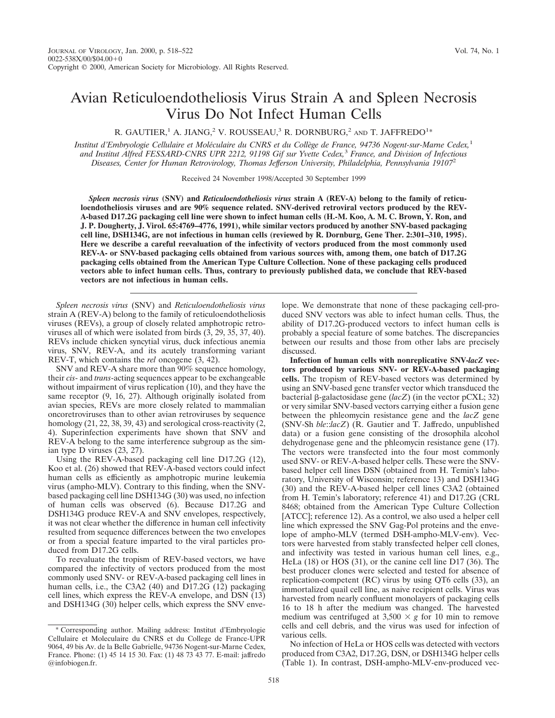## Avian Reticuloendotheliosis Virus Strain A and Spleen Necrosis Virus Do Not Infect Human Cells

R. GAUTIER,<sup>1</sup> A. JIANG,<sup>2</sup> V. ROUSSEAU,<sup>3</sup> R. DORNBURG,<sup>2</sup> and T. JAFFREDO<sup>1\*</sup>

*Institut d'Embryologie Cellulaire et Mole´culaire du CNRS et du Colle`ge de France, 94736 Nogent-sur-Marne Cedex,*<sup>1</sup> *and Institut Alfred FESSARD-CNRS UPR 2212, 91198 Gif sur Yvette Cedex,*<sup>3</sup> *France, and Division of Infectious Diseases, Center for Human Retrovirology, Thomas Jefferson University, Philadelphia, Pennsylvania 19107*<sup>2</sup>

Received 24 November 1998/Accepted 30 September 1999

*Spleen necrosis virus* **(SNV) and** *Reticuloendotheliosis virus* **strain A (REV-A) belong to the family of reticuloendotheliosis viruses and are 90% sequence related. SNV-derived retroviral vectors produced by the REV-A-based D17.2G packaging cell line were shown to infect human cells (H.-M. Koo, A. M. C. Brown, Y. Ron, and J. P. Dougherty, J. Virol. 65:4769–4776, 1991), while similar vectors produced by another SNV-based packaging cell line, DSH134G, are not infectious in human cells (reviewed by R. Dornburg, Gene Ther. 2:301–310, 1995). Here we describe a careful reevaluation of the infectivity of vectors produced from the most commonly used REV-A- or SNV-based packaging cells obtained from various sources with, among them, one batch of D17.2G packaging cells obtained from the American Type Culture Collection. None of these packaging cells produced vectors able to infect human cells. Thus, contrary to previously published data, we conclude that REV-based vectors are not infectious in human cells.**

*Spleen necrosis virus* (SNV) and *Reticuloendotheliosis virus* strain A (REV-A) belong to the family of reticuloendotheliosis viruses (REVs), a group of closely related amphotropic retroviruses all of which were isolated from birds (3, 29, 35, 37, 40). REVs include chicken syncytial virus, duck infectious anemia virus, SNV, REV-A, and its acutely transforming variant REV-T, which contains the *rel* oncogene (3, 42).

SNV and REV-A share more than 90% sequence homology, their *cis*- and *trans*-acting sequences appear to be exchangeable without impairment of virus replication (10), and they have the same receptor (9, 16, 27). Although originally isolated from avian species, REVs are more closely related to mammalian oncoretroviruses than to other avian retroviruses by sequence homology (21, 22, 38, 39, 43) and serological cross-reactivity (2, 4). Superinfection experiments have shown that SNV and REV-A belong to the same interference subgroup as the simian type D viruses (23, 27).

Using the REV-A-based packaging cell line D17.2G (12), Koo et al. (26) showed that REV-A-based vectors could infect human cells as efficiently as amphotropic murine leukemia virus (ampho-MLV). Contrary to this finding, when the SNVbased packaging cell line DSH134G (30) was used, no infection of human cells was observed (6). Because D17.2G and DSH134G produce REV-A and SNV envelopes, respectively, it was not clear whether the difference in human cell infectivity resulted from sequence differences between the two envelopes or from a special feature imparted to the viral particles produced from D17.2G cells.

To reevaluate the tropism of REV-based vectors, we have compared the infectivity of vectors produced from the most commonly used SNV- or REV-A-based packaging cell lines in human cells, i.e., the C3A2 (40) and D17.2G (12) packaging cell lines, which express the REV-A envelope, and DSN (13) and DSH134G (30) helper cells, which express the SNV enve-

\* Corresponding author. Mailing address: Institut d'Embryologie Cellulaire et Moleculaire du CNRS et du College de France-UPR 9064, 49 bis Av. de la Belle Gabrielle, 94736 Nogent-sur-Marne Cedex, France. Phone: (1) 45 14 15 30. Fax: (1) 48 73 43 77. E-mail: jaffredo @infobiogen.fr.

lope. We demonstrate that none of these packaging cell-produced SNV vectors was able to infect human cells. Thus, the ability of D17.2G-produced vectors to infect human cells is probably a special feature of some batches. The discrepancies between our results and those from other labs are precisely discussed.

**Infection of human cells with nonreplicative SNV-***lacZ* **vectors produced by various SNV- or REV-A-based packaging cells.** The tropism of REV-based vectors was determined by using an SNV-based gene transfer vector which transduced the bacterial b-galactosidase gene (*lacZ*) (in the vector pCXL; 32) or very similar SNV-based vectors carrying either a fusion gene between the phleomycin resistance gene and the *lacZ* gene (SNV-Sh *ble*::*lacZ*) (R. Gautier and T. Jaffredo, unpublished data) or a fusion gene consisting of the drosophila alcohol dehydrogenase gene and the phleomycin resistance gene (17). The vectors were transfected into the four most commonly used SNV- or REV-A-based helper cells. These were the SNVbased helper cell lines DSN (obtained from H. Temin's laboratory, University of Wisconsin; reference 13) and DSH134G (30) and the REV-A-based helper cell lines C3A2 (obtained from H. Temin's laboratory; reference 41) and D17.2G (CRL 8468; obtained from the American Type Culture Collection [ATCC]; reference 12). As a control, we also used a helper cell line which expressed the SNV Gag-Pol proteins and the envelope of ampho-MLV (termed DSH-ampho-MLV-env). Vectors were harvested from stably transfected helper cell clones, and infectivity was tested in various human cell lines, e.g., HeLa (18) or HOS (31), or the canine cell line D17 (36). The best producer clones were selected and tested for absence of replication-competent (RC) virus by using QT6 cells (33), an immortalized quail cell line, as naive recipient cells. Virus was harvested from nearly confluent monolayers of packaging cells 16 to 18 h after the medium was changed. The harvested medium was centrifuged at  $3,500 \times g$  for 10 min to remove cells and cell debris, and the virus was used for infection of various cells.

No infection of HeLa or HOS cells was detected with vectors produced from C3A2, D17.2G, DSN, or DSH134G helper cells (Table 1). In contrast, DSH-ampho-MLV-env-produced vec-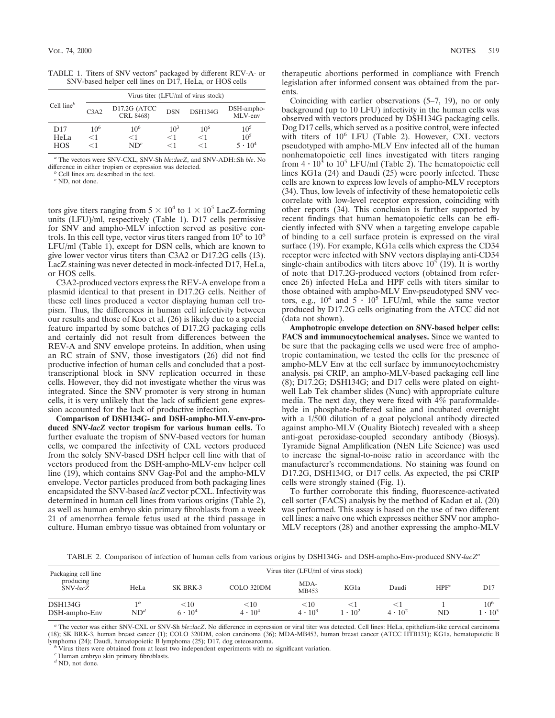TABLE 1. Titers of SNV vectors*<sup>a</sup>* packaged by different REV-A- or SNV-based helper cell lines on D17, HeLa, or HOS cells

| Cell line $^b$ |                               | Virus titer (LFU/ml of virus stock) |            |          |                       |
|----------------|-------------------------------|-------------------------------------|------------|----------|-----------------------|
|                | C <sub>3</sub> A <sub>2</sub> | D17.2G (ATCC<br>CRL 8468)           | <b>DSN</b> | DSH134G  | DSH-ampho-<br>MLV-env |
| D17            | $10^{6}$                      | $10^{6}$                            | $10^3$     | $10^{6}$ | $10^5$                |
| HeLa           | $<$ 1                         | $<$ 1                               | $<$ 1      | $<$ 1    | $10^5$                |
| <b>HOS</b>     | $<$ 1                         | $ND^{c}$                            | $<$ 1      | $<$ 1    | $5 \cdot 10^4$        |

*<sup>a</sup>* The vectors were SNV-CXL, SNV-Sh *ble*::*lacZ*, and SNV-ADH::Sh *ble*. No difference in either tropism or expression was detected. *<sup>b</sup>* Cell lines are described in the text.

*<sup>c</sup>* ND, not done.

tors give titers ranging from  $5 \times 10^4$  to  $1 \times 10^5$  LacZ-forming units (LFU)/ml, respectively (Table 1). D17 cells permissive for SNV and ampho-MLV infection served as positive controls. In this cell type, vector virus titers ranged from  $10^5$  to  $10^6$ LFU/ml (Table 1), except for DSN cells, which are known to give lower vector virus titers than C3A2 or D17.2G cells (13). LacZ staining was never detected in mock-infected D17, HeLa, or HOS cells.

C3A2-produced vectors express the REV-A envelope from a plasmid identical to that present in D17.2G cells. Neither of these cell lines produced a vector displaying human cell tropism. Thus, the differences in human cell infectivity between our results and those of Koo et al. (26) is likely due to a special feature imparted by some batches of D17.2G packaging cells and certainly did not result from differences between the REV-A and SNV envelope proteins. In addition, when using an RC strain of SNV, those investigators (26) did not find productive infection of human cells and concluded that a posttranscriptional block in SNV replication occurred in these cells. However, they did not investigate whether the virus was integrated. Since the SNV promoter is very strong in human cells, it is very unlikely that the lack of sufficient gene expression accounted for the lack of productive infection.

**Comparison of DSH134G- and DSH-ampho-MLV-env-produced SNV-***lacZ* **vector tropism for various human cells.** To further evaluate the tropism of SNV-based vectors for human cells, we compared the infectivity of CXL vectors produced from the solely SNV-based DSH helper cell line with that of vectors produced from the DSH-ampho-MLV-env helper cell line (19), which contains SNV Gag-Pol and the ampho-MLV envelope. Vector particles produced from both packaging lines encapsidated the SNV-based *lacZ* vector pCXL. Infectivity was determined in human cell lines from various origins (Table 2), as well as human embryo skin primary fibroblasts from a week 21 of amenorrhea female fetus used at the third passage in culture. Human embryo tissue was obtained from voluntary or

therapeutic abortions performed in compliance with French legislation after informed consent was obtained from the parents.

Coinciding with earlier observations (5–7, 19), no or only background (up to 10 LFU) infectivity in the human cells was observed with vectors produced by DSH134G packaging cells. Dog D17 cells, which served as a positive control, were infected with titers of  $10^6$  LFU (Table 2). However, CXL vectors pseudotyped with ampho-MLV Env infected all of the human nonhematopoietic cell lines investigated with titers ranging from  $4 \cdot 10^3$  to  $10^5$  LFU/ml (Table 2). The hematopoietic cell lines KG1a (24) and Daudi (25) were poorly infected. These cells are known to express low levels of ampho-MLV receptors (34). Thus, low levels of infectivity of these hematopoietic cells correlate with low-level receptor expression, coinciding with other reports (34). This conclusion is further supported by recent findings that human hematopoietic cells can be efficiently infected with SNV when a targeting envelope capable of binding to a cell surface protein is expressed on the viral surface (19). For example, KG1a cells which express the CD34 receptor were infected with SNV vectors displaying anti-CD34 single-chain antibodies with titers above  $10<sup>5</sup>$  (19). It is worthy of note that D17.2G-produced vectors (obtained from reference 26) infected HeLa and HPF cells with titers similar to those obtained with ampho-MLV Env-pseudotyped SNV vectors, e.g.,  $10^4$  and  $5 \cdot 10^5$  LFU/ml, while the same vector produced by D17.2G cells originating from the ATCC did not (data not shown).

**Amphotropic envelope detection on SNV-based helper cells: FACS and immunocytochemical analyses.** Since we wanted to be sure that the packaging cells we used were free of amphotropic contamination, we tested the cells for the presence of ampho-MLV Env at the cell surface by immunocytochemistry analysis. psi CRIP, an ampho-MLV-based packaging cell line (8); D17.2G; DSH134G; and D17 cells were plated on eightwell Lab Tek chamber slides (Nunc) with appropriate culture media. The next day, they were fixed with 4% paraformaldehyde in phosphate-buffered saline and incubated overnight with a 1/500 dilution of a goat polyclonal antibody directed against ampho-MLV (Quality Biotech) revealed with a sheep anti-goat peroxidase-coupled secondary antibody (Biosys). Tyramide Signal Amplification (NEN Life Science) was used to increase the signal-to-noise ratio in accordance with the manufacturer's recommendations. No staining was found on D17.2G, DSH134G, or D17 cells. As expected, the psi CRIP cells were strongly stained (Fig. 1).

To further corroborate this finding, fluorescence-activated cell sorter (FACS) analysis by the method of Kadan et al. (20) was performed. This assay is based on the use of two different cell lines: a naive one which expresses neither SNV nor ampho-MLV receptors (28) and another expressing the ampho-MLV

TABLE 2. Comparison of infection of human cells from various origins by DSH134G- and DSH-ampho-Env-produced SNV-*lacZa*

| Packaging cell line<br>producing<br>SNV-lacZ | Virus titer (LFU/ml of virus stock) |                          |                            |                          |                         |                  |                  |                                     |  |  |
|----------------------------------------------|-------------------------------------|--------------------------|----------------------------|--------------------------|-------------------------|------------------|------------------|-------------------------------------|--|--|
|                                              | HeLa                                | SK BRK-3                 | COLO 320DM                 | MDA-<br>MB453            | KG1a                    | Daudi            | HPF <sup>c</sup> | D17                                 |  |  |
| DSH134G<br>DSH-ampho-Env                     | $\mathrm{ND}^d$                     | $<$ 10<br>$6 \cdot 10^4$ | $<$ 10<br>$4 \cdot 10^{4}$ | $<$ 10<br>$4 \cdot 10^3$ | $\cdot$ 10 <sup>2</sup> | $4 \cdot 10^{2}$ | ND               | $10^{6}$<br>$\cdot$ 10 <sup>5</sup> |  |  |

*<sup>a</sup>* The vector was either SNV-CXL or SNV-Sh *ble*::*lacZ*. No difference in expression or viral titer was detected. Cell lines: HeLa, epithelium-like cervical carcinoma (18); SK BRK-3, human breast cancer (1); COLO 320DM, colon carcinoma (36); MDA-MB453, human breast cancer (ATCC HTB131); KG1a, hematopoietic B lymphoma (24); Daudi, hematopoietic B lymphoma (25); D17, dog osteosarcoma.

<sup>b</sup> Virus titers were obtained from at least two independent experiments with no significant variation.

*<sup>c</sup>* Human embryo skin primary fibroblasts.

*<sup>d</sup>* ND, not done.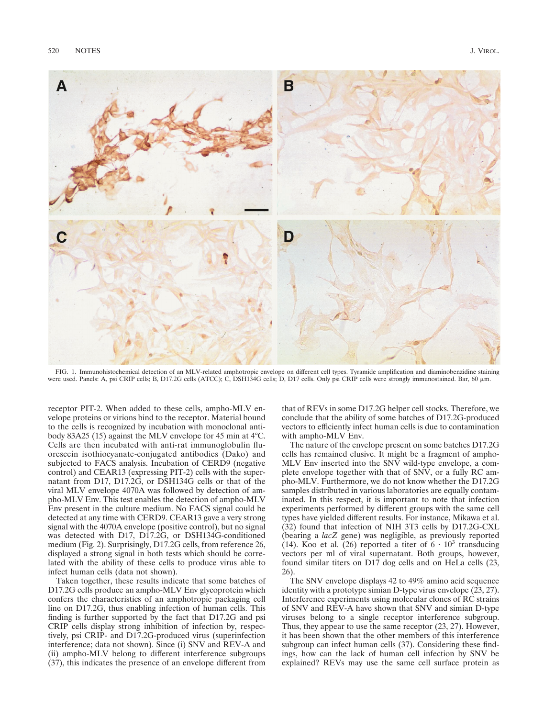

FIG. 1. Immunohistochemical detection of an MLV-related amphotropic envelope on different cell types. Tyramide amplification and diaminobenzidine staining were used. Panels: A, psi CRIP cells; B, D17.2G cells (ATCC); C, DSH134G cells; D, D17 cells. Only psi CRIP cells were strongly immunostained. Bar, 60  $\mu$ m.

receptor PIT-2. When added to these cells, ampho-MLV envelope proteins or virions bind to the receptor. Material bound to the cells is recognized by incubation with monoclonal antibody 83A25 (15) against the MLV envelope for 45 min at 4°C. Cells are then incubated with anti-rat immunoglobulin fluorescein isothiocyanate-conjugated antibodies (Dako) and subjected to FACS analysis. Incubation of CERD9 (negative control) and CEAR13 (expressing PIT-2) cells with the supernatant from D17, D17.2G, or DSH134G cells or that of the viral MLV envelope 4070A was followed by detection of ampho-MLV Env. This test enables the detection of ampho-MLV Env present in the culture medium. No FACS signal could be detected at any time with CERD9. CEAR13 gave a very strong signal with the 4070A envelope (positive control), but no signal was detected with D17, D17.2G, or DSH134G-conditioned medium (Fig. 2). Surprisingly, D17.2G cells, from reference 26, displayed a strong signal in both tests which should be correlated with the ability of these cells to produce virus able to infect human cells (data not shown).

Taken together, these results indicate that some batches of D17.2G cells produce an ampho-MLV Env glycoprotein which confers the characteristics of an amphotropic packaging cell line on D17.2G, thus enabling infection of human cells. This finding is further supported by the fact that D17.2G and psi CRIP cells display strong inhibition of infection by, respectively, psi CRIP- and D17.2G-produced virus (superinfection interference; data not shown). Since (i) SNV and REV-A and (ii) ampho-MLV belong to different interference subgroups (37), this indicates the presence of an envelope different from

that of REVs in some D17.2G helper cell stocks. Therefore, we conclude that the ability of some batches of D17.2G-produced vectors to efficiently infect human cells is due to contamination with ampho-MLV Env.

The nature of the envelope present on some batches D17.2G cells has remained elusive. It might be a fragment of ampho-MLV Env inserted into the SNV wild-type envelope, a complete envelope together with that of SNV, or a fully RC ampho-MLV. Furthermore, we do not know whether the D17.2G samples distributed in various laboratories are equally contaminated. In this respect, it is important to note that infection experiments performed by different groups with the same cell types have yielded different results. For instance, Mikawa et al. (32) found that infection of NIH 3T3 cells by D17.2G-CXL (bearing a *lacZ* gene) was negligible, as previously reported (14). Koo et al. (26) reported a titer of  $6 \cdot 10^3$  transducing vectors per ml of viral supernatant. Both groups, however, found similar titers on D17 dog cells and on HeLa cells (23, 26).

The SNV envelope displays 42 to 49% amino acid sequence identity with a prototype simian D-type virus envelope (23, 27). Interference experiments using molecular clones of RC strains of SNV and REV-A have shown that SNV and simian D-type viruses belong to a single receptor interference subgroup. Thus, they appear to use the same receptor (23, 27). However, it has been shown that the other members of this interference subgroup can infect human cells (37). Considering these findings, how can the lack of human cell infection by SNV be explained? REVs may use the same cell surface protein as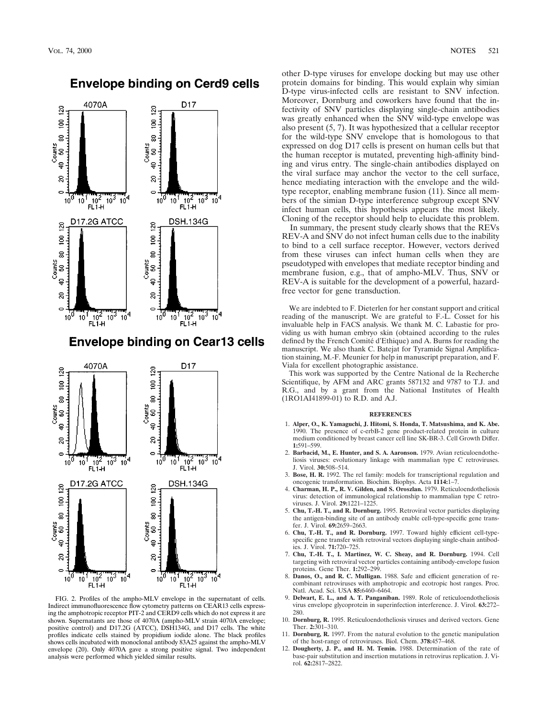

## **Envelope binding on Cerd9 cells**

## **Envelope binding on Cear13 cells**



FIG. 2. Profiles of the ampho-MLV envelope in the supernatant of cells. Indirect immunofluorescence flow cytometry patterns on CEAR13 cells expressing the amphotropic receptor PIT-2 and CERD9 cells which do not express it are shown. Supernatants are those of 4070A (ampho-MLV strain 4070A envelope; positive control) and D17.2G (ATCC), DSH134G, and D17 cells. The white profiles indicate cells stained by propidium iodide alone. The black profiles shows cells incubated with monoclonal antibody 83A25 against the ampho-MLV envelope (20). Only 4070A gave a strong positive signal. Two independent analysis were performed which yielded similar results.

other D-type viruses for envelope docking but may use other protein domains for binding. This would explain why simian D-type virus-infected cells are resistant to SNV infection. Moreover, Dornburg and coworkers have found that the infectivity of SNV particles displaying single-chain antibodies was greatly enhanced when the SNV wild-type envelope was also present (5, 7). It was hypothesized that a cellular receptor for the wild-type SNV envelope that is homologous to that expressed on dog D17 cells is present on human cells but that the human receptor is mutated, preventing high-affinity binding and virus entry. The single-chain antibodies displayed on the viral surface may anchor the vector to the cell surface, hence mediating interaction with the envelope and the wildtype receptor, enabling membrane fusion (11). Since all members of the simian D-type interference subgroup except SNV infect human cells, this hypothesis appears the most likely. Cloning of the receptor should help to elucidate this problem.

In summary, the present study clearly shows that the REVs REV-A and SNV do not infect human cells due to the inability to bind to a cell surface receptor. However, vectors derived from these viruses can infect human cells when they are pseudotyped with envelopes that mediate receptor binding and membrane fusion, e.g., that of ampho-MLV. Thus, SNV or REV-A is suitable for the development of a powerful, hazardfree vector for gene transduction.

We are indebted to F. Dieterlen for her constant support and critical reading of the manuscript. We are grateful to F.-L. Cosset for his invaluable help in FACS analysis. We thank M. C. Labastie for providing us with human embryo skin (obtained according to the rules defined by the French Comité d'Ethique) and A. Burns for reading the manuscript. We also thank C. Batejat for Tyramide Signal Amplification staining, M.-F. Meunier for help in manuscript preparation, and F. Viala for excellent photographic assistance.

This work was supported by the Centre National de la Recherche Scientifique, by AFM and ARC grants 587132 and 9787 to T.J. and R.G., and by a grant from the National Institutes of Health (1RO1AI41899-01) to R.D. and A.J.

## **REFERENCES**

- 1. **Alper, O., K. Yamaguchi, J. Hitomi, S. Honda, T. Matsushima, and K. Abe.** 1990. The presence of c-erbB-2 gene product-related protein in culture medium conditioned by breast cancer cell line SK-BR-3. Cell Growth Differ. **1:**591–599.
- 2. **Barbacid, M., E. Hunter, and S. A. Aaronson.** 1979. Avian reticuloendotheliosis viruses: evolutionary linkage with mammalian type C retroviruses. J. Virol. **30:**508–514.
- 3. **Bose, H. R.** 1992. The rel family: models for transcriptional regulation and oncogenic transformation. Biochim. Biophys. Acta **1114:**1–7.
- 4. **Charman, H. P., R. V. Gilden, and S. Oroszlan.** 1979. Reticuloendotheliosis virus: detection of immunological relationship to mammalian type C retroviruses. J. Virol. **29:**1221–1225.
- 5. **Chu, T.-H. T., and R. Dornburg.** 1995. Retroviral vector particles displaying the antigen-binding site of an antibody enable cell-type-specific gene transfer. J. Virol. **69:**2659–2663.
- 6. **Chu, T.-H. T., and R. Dornburg.** 1997. Toward highly efficient cell-typespecific gene transfer with retroviral vectors displaying single-chain antibodies. J. Virol. **71:**720–725.
- 7. **Chu, T.-H. T., I. Martinez, W. C. Sheay, and R. Dornburg.** 1994. Cell targeting with retroviral vector particles containing antibody-envelope fusion proteins. Gene Ther. **1:**292–299.
- 8. **Danos, O., and R. C. Mulligan.** 1988. Safe and efficient generation of recombinant retroviruses with amphotropic and ecotropic host ranges. Proc. Natl. Acad. Sci. USA **85:**6460–6464.
- 9. **Delwart, E. L., and A. T. Panganiban.** 1989. Role of reticuloendotheliosis virus envelope glycoprotein in superinfection interference. J. Virol. **63:**272– 280.
- 10. **Dornburg, R.** 1995. Reticuloendotheliosis viruses and derived vectors. Gene Ther. **2:**301–310.
- 11. **Dornburg, R.** 1997. From the natural evolution to the genetic manipulation of the host-range of retroviruses. Biol. Chem. **378:**457–468.
- 12. **Dougherty, J. P., and H. M. Temin.** 1988. Determination of the rate of base-pair substitution and insertion mutations in retrovirus replication. J. Virol. **62:**2817–2822.